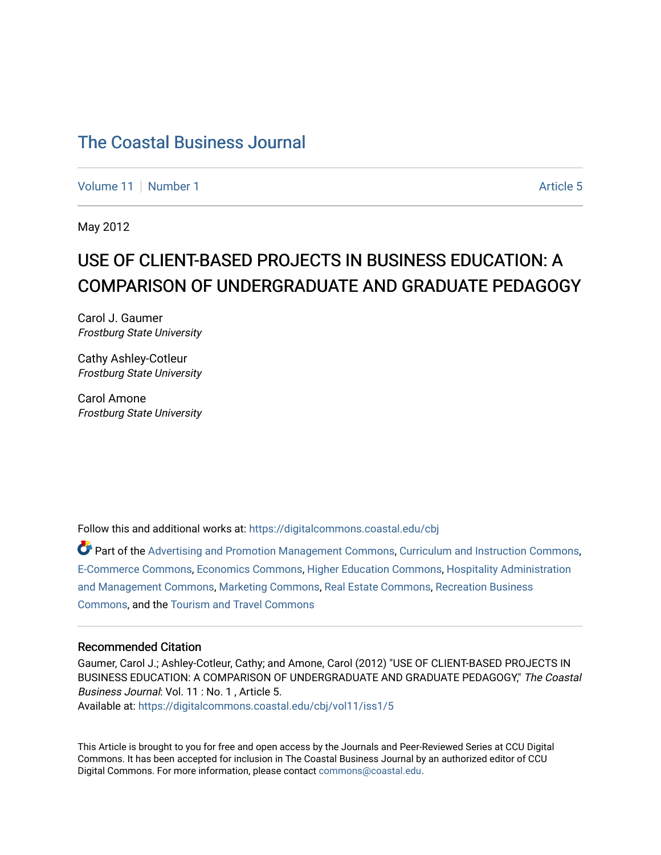[Volume 11](https://digitalcommons.coastal.edu/cbj/vol11) | [Number 1](https://digitalcommons.coastal.edu/cbj/vol11/iss1) Article 5

May 2012

### USE OF CLIENT-BASED PROJECTS IN BUSINESS EDUCATION: A COMPARISON OF UNDERGRADUATE AND GRADUATE PEDAGOGY

Carol J. Gaumer Frostburg State University

Cathy Ashley-Cotleur Frostburg State University

Carol Amone Frostburg State University

Follow this and additional works at: [https://digitalcommons.coastal.edu/cbj](https://digitalcommons.coastal.edu/cbj?utm_source=digitalcommons.coastal.edu%2Fcbj%2Fvol11%2Fiss1%2F5&utm_medium=PDF&utm_campaign=PDFCoverPages) 

Part of the [Advertising and Promotion Management Commons,](http://network.bepress.com/hgg/discipline/626?utm_source=digitalcommons.coastal.edu%2Fcbj%2Fvol11%2Fiss1%2F5&utm_medium=PDF&utm_campaign=PDFCoverPages) [Curriculum and Instruction Commons,](http://network.bepress.com/hgg/discipline/786?utm_source=digitalcommons.coastal.edu%2Fcbj%2Fvol11%2Fiss1%2F5&utm_medium=PDF&utm_campaign=PDFCoverPages) [E-Commerce Commons,](http://network.bepress.com/hgg/discipline/624?utm_source=digitalcommons.coastal.edu%2Fcbj%2Fvol11%2Fiss1%2F5&utm_medium=PDF&utm_campaign=PDFCoverPages) [Economics Commons](http://network.bepress.com/hgg/discipline/340?utm_source=digitalcommons.coastal.edu%2Fcbj%2Fvol11%2Fiss1%2F5&utm_medium=PDF&utm_campaign=PDFCoverPages), [Higher Education Commons](http://network.bepress.com/hgg/discipline/1245?utm_source=digitalcommons.coastal.edu%2Fcbj%2Fvol11%2Fiss1%2F5&utm_medium=PDF&utm_campaign=PDFCoverPages), [Hospitality Administration](http://network.bepress.com/hgg/discipline/632?utm_source=digitalcommons.coastal.edu%2Fcbj%2Fvol11%2Fiss1%2F5&utm_medium=PDF&utm_campaign=PDFCoverPages) [and Management Commons,](http://network.bepress.com/hgg/discipline/632?utm_source=digitalcommons.coastal.edu%2Fcbj%2Fvol11%2Fiss1%2F5&utm_medium=PDF&utm_campaign=PDFCoverPages) [Marketing Commons](http://network.bepress.com/hgg/discipline/638?utm_source=digitalcommons.coastal.edu%2Fcbj%2Fvol11%2Fiss1%2F5&utm_medium=PDF&utm_campaign=PDFCoverPages), [Real Estate Commons](http://network.bepress.com/hgg/discipline/641?utm_source=digitalcommons.coastal.edu%2Fcbj%2Fvol11%2Fiss1%2F5&utm_medium=PDF&utm_campaign=PDFCoverPages), [Recreation Business](http://network.bepress.com/hgg/discipline/1083?utm_source=digitalcommons.coastal.edu%2Fcbj%2Fvol11%2Fiss1%2F5&utm_medium=PDF&utm_campaign=PDFCoverPages) [Commons](http://network.bepress.com/hgg/discipline/1083?utm_source=digitalcommons.coastal.edu%2Fcbj%2Fvol11%2Fiss1%2F5&utm_medium=PDF&utm_campaign=PDFCoverPages), and the [Tourism and Travel Commons](http://network.bepress.com/hgg/discipline/1082?utm_source=digitalcommons.coastal.edu%2Fcbj%2Fvol11%2Fiss1%2F5&utm_medium=PDF&utm_campaign=PDFCoverPages)

#### Recommended Citation

Gaumer, Carol J.; Ashley-Cotleur, Cathy; and Amone, Carol (2012) "USE OF CLIENT-BASED PROJECTS IN BUSINESS EDUCATION: A COMPARISON OF UNDERGRADUATE AND GRADUATE PEDAGOGY," The Coastal Business Journal: Vol. 11 : No. 1 , Article 5. Available at: [https://digitalcommons.coastal.edu/cbj/vol11/iss1/5](https://digitalcommons.coastal.edu/cbj/vol11/iss1/5?utm_source=digitalcommons.coastal.edu%2Fcbj%2Fvol11%2Fiss1%2F5&utm_medium=PDF&utm_campaign=PDFCoverPages) 

This Article is brought to you for free and open access by the Journals and Peer-Reviewed Series at CCU Digital Commons. It has been accepted for inclusion in The Coastal Business Journal by an authorized editor of CCU Digital Commons. For more information, please contact [commons@coastal.edu](mailto:commons@coastal.edu).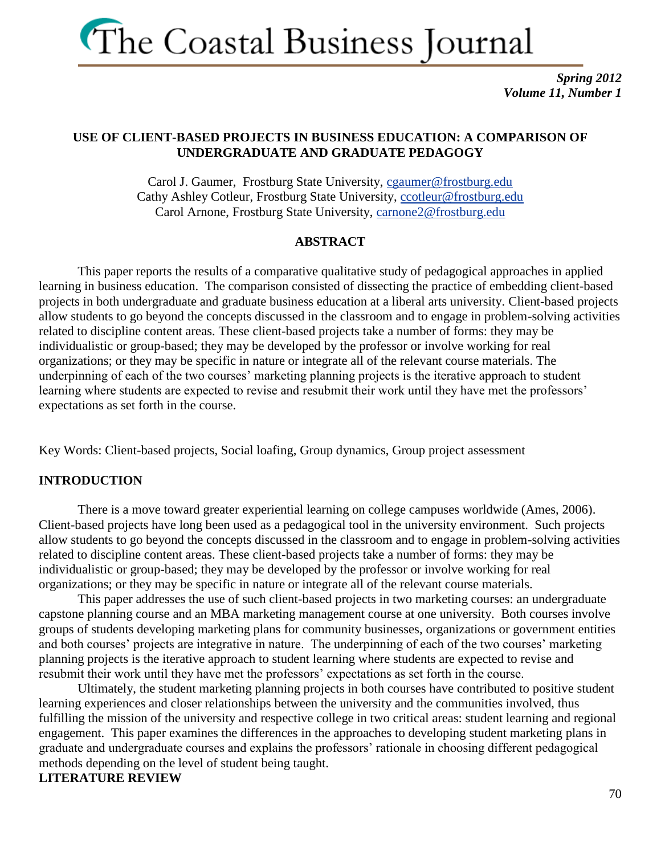

*Spring 2012 Volume 11, Number 1*

### **USE OF CLIENT-BASED PROJECTS IN BUSINESS EDUCATION: A COMPARISON OF UNDERGRADUATE AND GRADUATE PEDAGOGY**

Carol J. Gaumer, Frostburg State University, [cgaumer@frostburg.edu](mailto:cgaumer@frostburg.edu) Cathy Ashley Cotleur, Frostburg State University, [ccotleur@frostburg.edu](mailto:ccotleur@frostburg.edu) Carol Arnone, Frostburg State University, [carnone2@frostburg.edu](mailto:carnone2@frostburg.edu)

#### **ABSTRACT**

This paper reports the results of a comparative qualitative study of pedagogical approaches in applied learning in business education. The comparison consisted of dissecting the practice of embedding client-based projects in both undergraduate and graduate business education at a liberal arts university. Client-based projects allow students to go beyond the concepts discussed in the classroom and to engage in problem-solving activities related to discipline content areas. These client-based projects take a number of forms: they may be individualistic or group-based; they may be developed by the professor or involve working for real organizations; or they may be specific in nature or integrate all of the relevant course materials. The underpinning of each of the two courses' marketing planning projects is the iterative approach to student learning where students are expected to revise and resubmit their work until they have met the professors' expectations as set forth in the course.

Key Words: Client-based projects, Social loafing, Group dynamics, Group project assessment

#### **INTRODUCTION**

There is a move toward greater experiential learning on college campuses worldwide (Ames, 2006). Client-based projects have long been used as a pedagogical tool in the university environment. Such projects allow students to go beyond the concepts discussed in the classroom and to engage in problem-solving activities related to discipline content areas. These client-based projects take a number of forms: they may be individualistic or group-based; they may be developed by the professor or involve working for real organizations; or they may be specific in nature or integrate all of the relevant course materials.

This paper addresses the use of such client-based projects in two marketing courses: an undergraduate capstone planning course and an MBA marketing management course at one university. Both courses involve groups of students developing marketing plans for community businesses, organizations or government entities and both courses' projects are integrative in nature. The underpinning of each of the two courses' marketing planning projects is the iterative approach to student learning where students are expected to revise and resubmit their work until they have met the professors' expectations as set forth in the course.

Ultimately, the student marketing planning projects in both courses have contributed to positive student learning experiences and closer relationships between the university and the communities involved, thus fulfilling the mission of the university and respective college in two critical areas: student learning and regional engagement. This paper examines the differences in the approaches to developing student marketing plans in graduate and undergraduate courses and explains the professors' rationale in choosing different pedagogical methods depending on the level of student being taught. **LITERATURE REVIEW**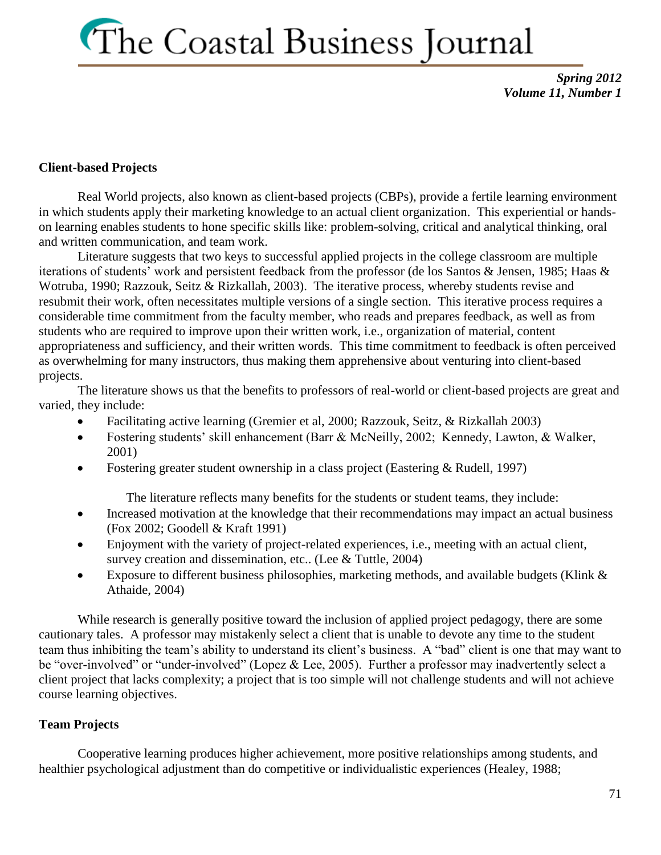*Spring 2012 Volume 11, Number 1*

### **Client-based Projects**

Real World projects, also known as client-based projects (CBPs), provide a fertile learning environment in which students apply their marketing knowledge to an actual client organization. This experiential or handson learning enables students to hone specific skills like: problem-solving, critical and analytical thinking, oral and written communication, and team work.

Literature suggests that two keys to successful applied projects in the college classroom are multiple iterations of students' work and persistent feedback from the professor (de los Santos & Jensen, 1985; Haas & Wotruba, 1990; Razzouk, Seitz & Rizkallah, 2003). The iterative process, whereby students revise and resubmit their work, often necessitates multiple versions of a single section. This iterative process requires a considerable time commitment from the faculty member, who reads and prepares feedback, as well as from students who are required to improve upon their written work, i.e., organization of material, content appropriateness and sufficiency, and their written words. This time commitment to feedback is often perceived as overwhelming for many instructors, thus making them apprehensive about venturing into client-based projects.

The literature shows us that the benefits to professors of real-world or client-based projects are great and varied, they include:

- Facilitating active learning (Gremier et al, 2000; Razzouk, Seitz, & Rizkallah 2003)
- Fostering students' skill enhancement (Barr & McNeilly, 2002; Kennedy, Lawton, & Walker, 2001)
- Fostering greater student ownership in a class project (Eastering & Rudell, 1997)

The literature reflects many benefits for the students or student teams, they include:

- Increased motivation at the knowledge that their recommendations may impact an actual business (Fox 2002; Goodell & Kraft 1991)
- Enjoyment with the variety of project-related experiences, i.e., meeting with an actual client, survey creation and dissemination, etc.. (Lee & Tuttle, 2004)
- Exposure to different business philosophies, marketing methods, and available budgets (Klink & Athaide, 2004)

While research is generally positive toward the inclusion of applied project pedagogy, there are some cautionary tales. A professor may mistakenly select a client that is unable to devote any time to the student team thus inhibiting the team's ability to understand its client's business. A "bad" client is one that may want to be "over-involved" or "under-involved" (Lopez & Lee, 2005). Further a professor may inadvertently select a client project that lacks complexity; a project that is too simple will not challenge students and will not achieve course learning objectives.

### **Team Projects**

Cooperative learning produces higher achievement, more positive relationships among students, and healthier psychological adjustment than do competitive or individualistic experiences (Healey, 1988;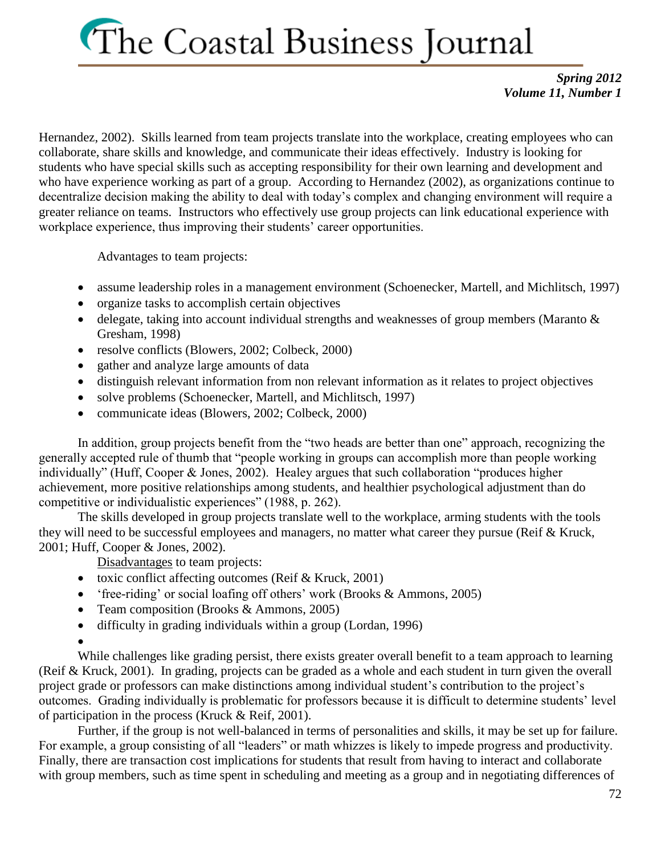*Spring 2012 Volume 11, Number 1*

Hernandez, 2002). Skills learned from team projects translate into the workplace, creating employees who can collaborate, share skills and knowledge, and communicate their ideas effectively. Industry is looking for students who have special skills such as accepting responsibility for their own learning and development and who have experience working as part of a group. According to Hernandez (2002), as organizations continue to decentralize decision making the ability to deal with today's complex and changing environment will require a greater reliance on teams. Instructors who effectively use group projects can link educational experience with workplace experience, thus improving their students' career opportunities.

Advantages to team projects:

- assume leadership roles in a management environment (Schoenecker, Martell, and Michlitsch, 1997)
- organize tasks to accomplish certain objectives
- delegate, taking into account individual strengths and weaknesses of group members (Maranto  $\&$ Gresham, 1998)
- resolve conflicts (Blowers, 2002; Colbeck, 2000)
- gather and analyze large amounts of data
- distinguish relevant information from non relevant information as it relates to project objectives
- solve problems (Schoenecker, Martell, and Michlitsch, 1997)
- communicate ideas (Blowers, 2002; Colbeck, 2000)

In addition, group projects benefit from the "two heads are better than one" approach, recognizing the generally accepted rule of thumb that "people working in groups can accomplish more than people working individually" (Huff, Cooper & Jones, 2002). Healey argues that such collaboration "produces higher achievement, more positive relationships among students, and healthier psychological adjustment than do competitive or individualistic experiences" (1988, p. 262).

The skills developed in group projects translate well to the workplace, arming students with the tools they will need to be successful employees and managers, no matter what career they pursue (Reif & Kruck, 2001; Huff, Cooper & Jones, 2002).

Disadvantages to team projects:

- toxic conflict affecting outcomes (Reif  $&$  Kruck, 2001)
- 'free-riding' or social loafing off others' work (Brooks & Ammons, 2005)
- Team composition (Brooks & Ammons, 2005)
- difficulty in grading individuals within a group (Lordan, 1996)
- $\bullet$

While challenges like grading persist, there exists greater overall benefit to a team approach to learning (Reif & Kruck, 2001). In grading, projects can be graded as a whole and each student in turn given the overall project grade or professors can make distinctions among individual student's contribution to the project's outcomes. Grading individually is problematic for professors because it is difficult to determine students' level of participation in the process (Kruck & Reif, 2001).

Further, if the group is not well-balanced in terms of personalities and skills, it may be set up for failure. For example, a group consisting of all "leaders" or math whizzes is likely to impede progress and productivity. Finally, there are transaction cost implications for students that result from having to interact and collaborate with group members, such as time spent in scheduling and meeting as a group and in negotiating differences of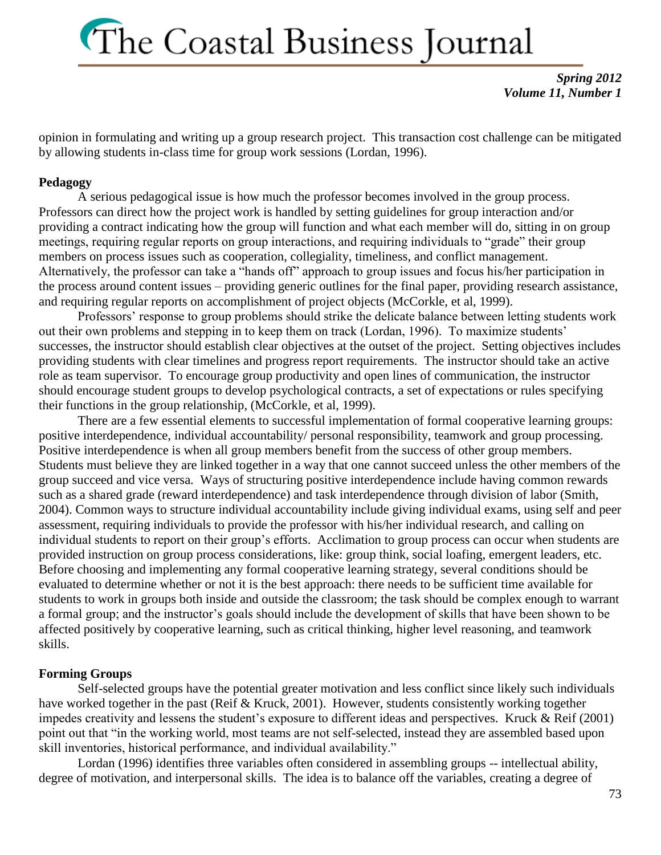*Spring 2012 Volume 11, Number 1*

opinion in formulating and writing up a group research project. This transaction cost challenge can be mitigated by allowing students in-class time for group work sessions (Lordan, 1996).

#### **Pedagogy**

A serious pedagogical issue is how much the professor becomes involved in the group process. Professors can direct how the project work is handled by setting guidelines for group interaction and/or providing a contract indicating how the group will function and what each member will do, sitting in on group meetings, requiring regular reports on group interactions, and requiring individuals to "grade" their group members on process issues such as cooperation, collegiality, timeliness, and conflict management. Alternatively, the professor can take a "hands off" approach to group issues and focus his/her participation in the process around content issues – providing generic outlines for the final paper, providing research assistance, and requiring regular reports on accomplishment of project objects (McCorkle, et al, 1999).

Professors' response to group problems should strike the delicate balance between letting students work out their own problems and stepping in to keep them on track (Lordan, 1996). To maximize students' successes, the instructor should establish clear objectives at the outset of the project. Setting objectives includes providing students with clear timelines and progress report requirements. The instructor should take an active role as team supervisor. To encourage group productivity and open lines of communication, the instructor should encourage student groups to develop psychological contracts, a set of expectations or rules specifying their functions in the group relationship, (McCorkle, et al, 1999).

There are a few essential elements to successful implementation of formal cooperative learning groups: positive interdependence, individual accountability/ personal responsibility, teamwork and group processing. Positive interdependence is when all group members benefit from the success of other group members. Students must believe they are linked together in a way that one cannot succeed unless the other members of the group succeed and vice versa. Ways of structuring positive interdependence include having common rewards such as a shared grade (reward interdependence) and task interdependence through division of labor (Smith, 2004). Common ways to structure individual accountability include giving individual exams, using self and peer assessment, requiring individuals to provide the professor with his/her individual research, and calling on individual students to report on their group's efforts. Acclimation to group process can occur when students are provided instruction on group process considerations, like: group think, social loafing, emergent leaders, etc. Before choosing and implementing any formal cooperative learning strategy, several conditions should be evaluated to determine whether or not it is the best approach: there needs to be sufficient time available for students to work in groups both inside and outside the classroom; the task should be complex enough to warrant a formal group; and the instructor's goals should include the development of skills that have been shown to be affected positively by cooperative learning, such as critical thinking, higher level reasoning, and teamwork skills.

#### **Forming Groups**

Self-selected groups have the potential greater motivation and less conflict since likely such individuals have worked together in the past (Reif & Kruck, 2001). However, students consistently working together impedes creativity and lessens the student's exposure to different ideas and perspectives. Kruck & Reif (2001) point out that "in the working world, most teams are not self-selected, instead they are assembled based upon skill inventories, historical performance, and individual availability."

Lordan (1996) identifies three variables often considered in assembling groups -- intellectual ability, degree of motivation, and interpersonal skills. The idea is to balance off the variables, creating a degree of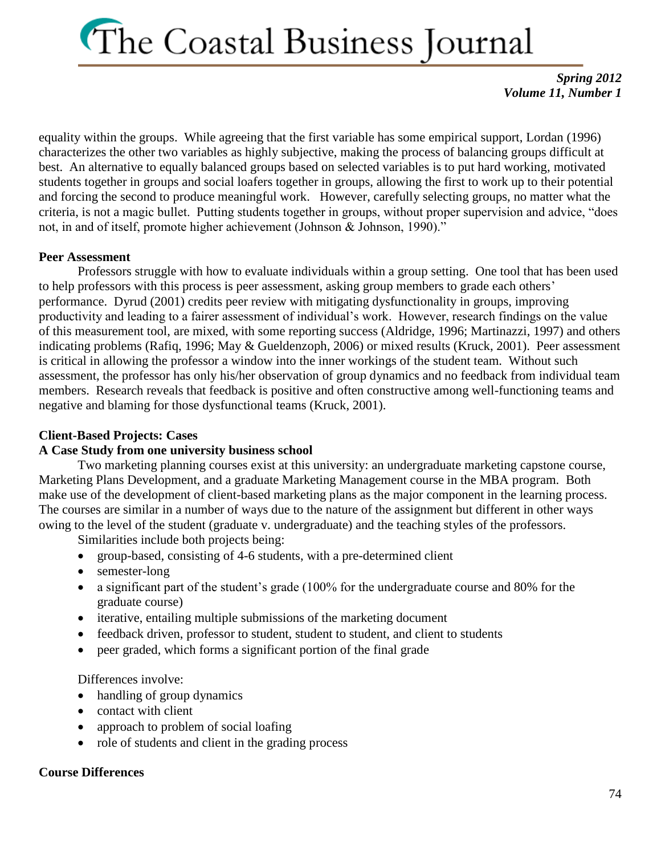*Spring 2012 Volume 11, Number 1*

equality within the groups. While agreeing that the first variable has some empirical support, Lordan (1996) characterizes the other two variables as highly subjective, making the process of balancing groups difficult at best. An alternative to equally balanced groups based on selected variables is to put hard working, motivated students together in groups and social loafers together in groups, allowing the first to work up to their potential and forcing the second to produce meaningful work. However, carefully selecting groups, no matter what the criteria, is not a magic bullet. Putting students together in groups, without proper supervision and advice, "does not, in and of itself, promote higher achievement (Johnson & Johnson, 1990)."

### **Peer Assessment**

Professors struggle with how to evaluate individuals within a group setting. One tool that has been used to help professors with this process is peer assessment, asking group members to grade each others' performance. Dyrud (2001) credits peer review with mitigating dysfunctionality in groups, improving productivity and leading to a fairer assessment of individual's work. However, research findings on the value of this measurement tool, are mixed, with some reporting success (Aldridge, 1996; Martinazzi, 1997) and others indicating problems (Rafiq, 1996; May & Gueldenzoph, 2006) or mixed results (Kruck, 2001). Peer assessment is critical in allowing the professor a window into the inner workings of the student team. Without such assessment, the professor has only his/her observation of group dynamics and no feedback from individual team members. Research reveals that feedback is positive and often constructive among well-functioning teams and negative and blaming for those dysfunctional teams (Kruck, 2001).

### **Client-Based Projects: Cases**

### **A Case Study from one university business school**

Two marketing planning courses exist at this university: an undergraduate marketing capstone course, Marketing Plans Development, and a graduate Marketing Management course in the MBA program. Both make use of the development of client-based marketing plans as the major component in the learning process. The courses are similar in a number of ways due to the nature of the assignment but different in other ways owing to the level of the student (graduate v. undergraduate) and the teaching styles of the professors.

Similarities include both projects being:

- group-based, consisting of 4-6 students, with a pre-determined client
- semester-long
- a significant part of the student's grade (100% for the undergraduate course and 80% for the graduate course)
- iterative, entailing multiple submissions of the marketing document
- feedback driven, professor to student, student to student, and client to students
- peer graded, which forms a significant portion of the final grade

Differences involve:

- handling of group dynamics
- contact with client
- approach to problem of social loafing
- role of students and client in the grading process

### **Course Differences**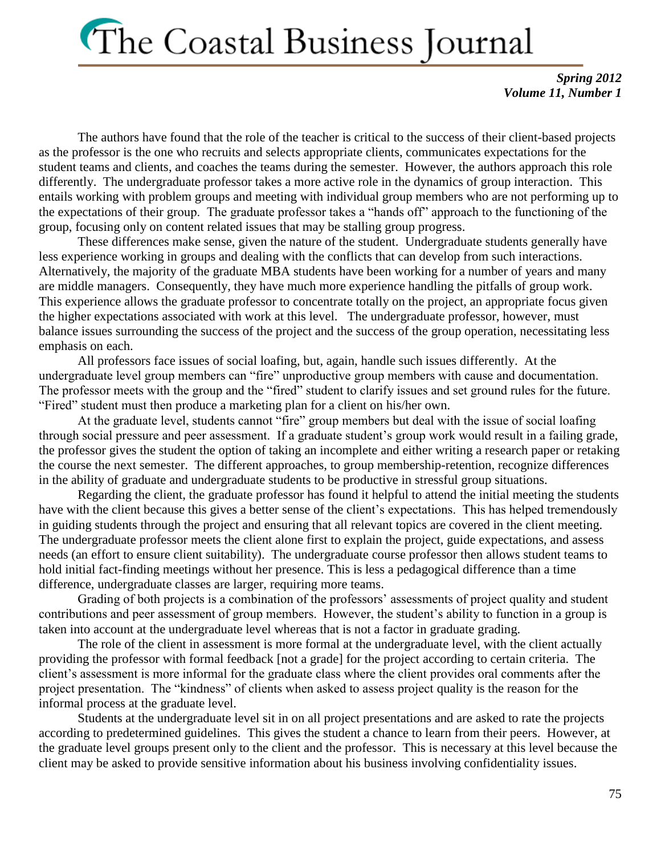*Spring 2012 Volume 11, Number 1*

The authors have found that the role of the teacher is critical to the success of their client-based projects as the professor is the one who recruits and selects appropriate clients, communicates expectations for the student teams and clients, and coaches the teams during the semester. However, the authors approach this role differently. The undergraduate professor takes a more active role in the dynamics of group interaction. This entails working with problem groups and meeting with individual group members who are not performing up to the expectations of their group. The graduate professor takes a "hands off" approach to the functioning of the group, focusing only on content related issues that may be stalling group progress.

These differences make sense, given the nature of the student. Undergraduate students generally have less experience working in groups and dealing with the conflicts that can develop from such interactions. Alternatively, the majority of the graduate MBA students have been working for a number of years and many are middle managers. Consequently, they have much more experience handling the pitfalls of group work. This experience allows the graduate professor to concentrate totally on the project, an appropriate focus given the higher expectations associated with work at this level. The undergraduate professor, however, must balance issues surrounding the success of the project and the success of the group operation, necessitating less emphasis on each.

All professors face issues of social loafing, but, again, handle such issues differently. At the undergraduate level group members can "fire" unproductive group members with cause and documentation. The professor meets with the group and the "fired" student to clarify issues and set ground rules for the future. "Fired" student must then produce a marketing plan for a client on his/her own.

At the graduate level, students cannot "fire" group members but deal with the issue of social loafing through social pressure and peer assessment. If a graduate student's group work would result in a failing grade, the professor gives the student the option of taking an incomplete and either writing a research paper or retaking the course the next semester. The different approaches, to group membership-retention, recognize differences in the ability of graduate and undergraduate students to be productive in stressful group situations.

Regarding the client, the graduate professor has found it helpful to attend the initial meeting the students have with the client because this gives a better sense of the client's expectations. This has helped tremendously in guiding students through the project and ensuring that all relevant topics are covered in the client meeting. The undergraduate professor meets the client alone first to explain the project, guide expectations, and assess needs (an effort to ensure client suitability). The undergraduate course professor then allows student teams to hold initial fact-finding meetings without her presence. This is less a pedagogical difference than a time difference, undergraduate classes are larger, requiring more teams.

Grading of both projects is a combination of the professors' assessments of project quality and student contributions and peer assessment of group members. However, the student's ability to function in a group is taken into account at the undergraduate level whereas that is not a factor in graduate grading.

The role of the client in assessment is more formal at the undergraduate level, with the client actually providing the professor with formal feedback [not a grade] for the project according to certain criteria. The client's assessment is more informal for the graduate class where the client provides oral comments after the project presentation. The "kindness" of clients when asked to assess project quality is the reason for the informal process at the graduate level.

Students at the undergraduate level sit in on all project presentations and are asked to rate the projects according to predetermined guidelines. This gives the student a chance to learn from their peers. However, at the graduate level groups present only to the client and the professor. This is necessary at this level because the client may be asked to provide sensitive information about his business involving confidentiality issues.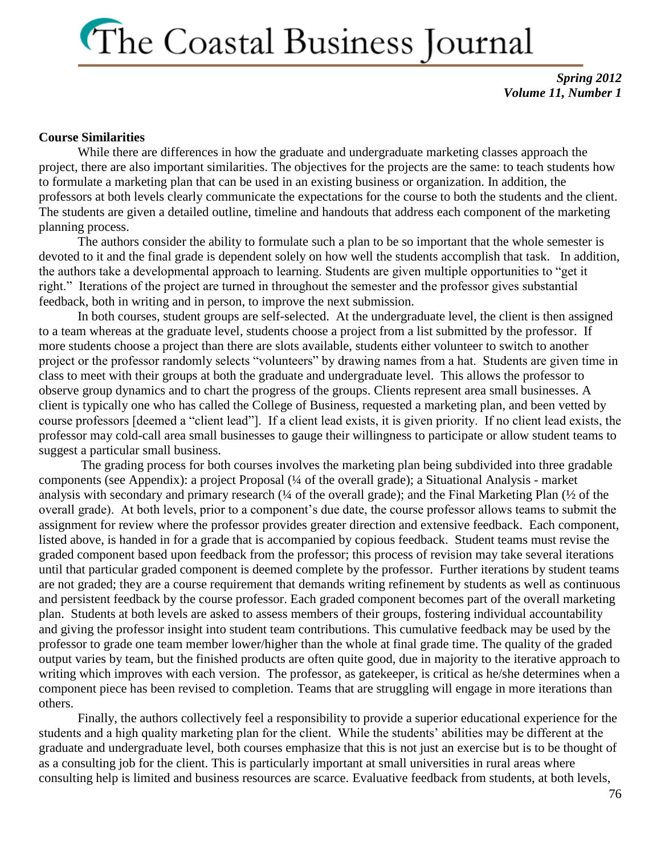*Spring 2012 Volume 11, Number 1*

#### **Course Similarities**

While there are differences in how the graduate and undergraduate marketing classes approach the project, there are also important similarities. The objectives for the projects are the same: to teach students how to formulate a marketing plan that can be used in an existing business or organization. In addition, the professors at both levels clearly communicate the expectations for the course to both the students and the client. The students are given a detailed outline, timeline and handouts that address each component of the marketing planning process.

The authors consider the ability to formulate such a plan to be so important that the whole semester is devoted to it and the final grade is dependent solely on how well the students accomplish that task. In addition, the authors take a developmental approach to learning. Students are given multiple opportunities to "get it right." Iterations of the project are turned in throughout the semester and the professor gives substantial feedback, both in writing and in person, to improve the next submission.

In both courses, student groups are self-selected. At the undergraduate level, the client is then assigned to a team whereas at the graduate level, students choose a project from a list submitted by the professor. If more students choose a project than there are slots available, students either volunteer to switch to another project or the professor randomly selects "volunteers" by drawing names from a hat. Students are given time in class to meet with their groups at both the graduate and undergraduate level. This allows the professor to observe group dynamics and to chart the progress of the groups. Clients represent area small businesses. A client is typically one who has called the College of Business, requested a marketing plan, and been vetted by course professors [deemed a "client lead"]. If a client lead exists, it is given priority. If no client lead exists, the professor may cold-call area small businesses to gauge their willingness to participate or allow student teams to suggest a particular small business.

The grading process for both courses involves the marketing plan being subdivided into three gradable components (see Appendix): a project Proposal (¼ of the overall grade); a Situational Analysis - market analysis with secondary and primary research (¼ of the overall grade); and the Final Marketing Plan (½ of the overall grade). At both levels, prior to a component's due date, the course professor allows teams to submit the assignment for review where the professor provides greater direction and extensive feedback. Each component, listed above, is handed in for a grade that is accompanied by copious feedback. Student teams must revise the graded component based upon feedback from the professor; this process of revision may take several iterations until that particular graded component is deemed complete by the professor. Further iterations by student teams are not graded; they are a course requirement that demands writing refinement by students as well as continuous and persistent feedback by the course professor. Each graded component becomes part of the overall marketing plan. Students at both levels are asked to assess members of their groups, fostering individual accountability and giving the professor insight into student team contributions. This cumulative feedback may be used by the professor to grade one team member lower/higher than the whole at final grade time. The quality of the graded output varies by team, but the finished products are often quite good, due in majority to the iterative approach to writing which improves with each version. The professor, as gatekeeper, is critical as he/she determines when a component piece has been revised to completion. Teams that are struggling will engage in more iterations than others.

Finally, the authors collectively feel a responsibility to provide a superior educational experience for the students and a high quality marketing plan for the client. While the students' abilities may be different at the graduate and undergraduate level, both courses emphasize that this is not just an exercise but is to be thought of as a consulting job for the client. This is particularly important at small universities in rural areas where consulting help is limited and business resources are scarce. Evaluative feedback from students, at both levels,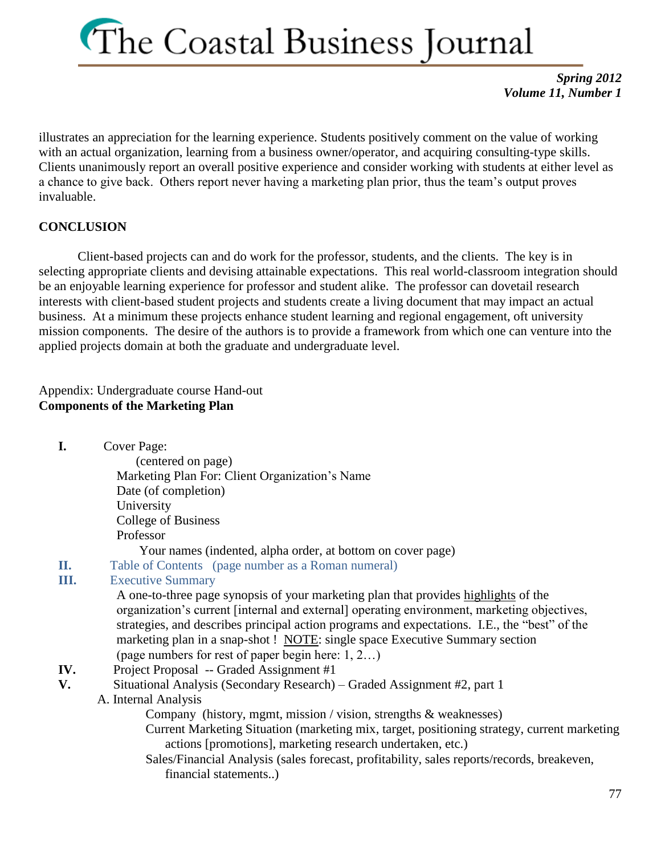*Spring 2012 Volume 11, Number 1*

illustrates an appreciation for the learning experience. Students positively comment on the value of working with an actual organization, learning from a business owner/operator, and acquiring consulting-type skills. Clients unanimously report an overall positive experience and consider working with students at either level as a chance to give back. Others report never having a marketing plan prior, thus the team's output proves invaluable.

### **CONCLUSION**

Client-based projects can and do work for the professor, students, and the clients. The key is in selecting appropriate clients and devising attainable expectations. This real world-classroom integration should be an enjoyable learning experience for professor and student alike. The professor can dovetail research interests with client-based student projects and students create a living document that may impact an actual business. At a minimum these projects enhance student learning and regional engagement, oft university mission components. The desire of the authors is to provide a framework from which one can venture into the applied projects domain at both the graduate and undergraduate level.

Appendix: Undergraduate course Hand-out **Components of the Marketing Plan**

**I.** Cover Page:

 (centered on page) Marketing Plan For: Client Organization's Name Date (of completion) University College of Business Professor

Your names (indented, alpha order, at bottom on cover page)

**II.** Table of Contents (page number as a Roman numeral)

### **III.** Executive Summary

A one-to-three page synopsis of your marketing plan that provides highlights of the organization's current [internal and external] operating environment, marketing objectives, strategies, and describes principal action programs and expectations. I.E., the "best" of the marketing plan in a snap-shot ! NOTE: single space Executive Summary section (page numbers for rest of paper begin here: 1, 2…)

- **IV.** Project Proposal -- Graded Assignment #1
- **V.** Situational Analysis (Secondary Research) Graded Assignment #2, part 1
	- A. Internal Analysis

Company (history, mgmt, mission / vision, strengths & weaknesses)

- Current Marketing Situation (marketing mix, target, positioning strategy, current marketing actions [promotions], marketing research undertaken, etc.)
- Sales/Financial Analysis (sales forecast, profitability, sales reports/records, breakeven, financial statements..)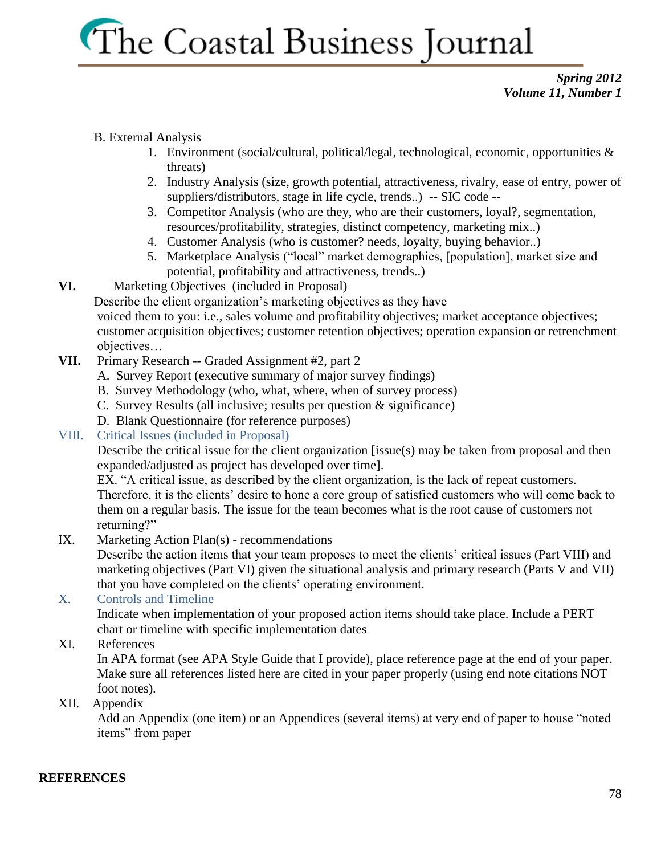### *Spring 2012 Volume 11, Number 1*

### B. External Analysis

- 1. Environment (social/cultural, political/legal, technological, economic, opportunities & threats)
- 2. Industry Analysis (size, growth potential, attractiveness, rivalry, ease of entry, power of suppliers/distributors, stage in life cycle, trends..) -- SIC code --
- 3. Competitor Analysis (who are they, who are their customers, loyal?, segmentation, resources/profitability, strategies, distinct competency, marketing mix..)
- 4. Customer Analysis (who is customer? needs, loyalty, buying behavior..)
- 5. Marketplace Analysis ("local" market demographics, [population], market size and potential, profitability and attractiveness, trends..)
- **VI.** Marketing Objectives (included in Proposal)

Describe the client organization's marketing objectives as they have

voiced them to you: i.e., sales volume and profitability objectives; market acceptance objectives; customer acquisition objectives; customer retention objectives; operation expansion or retrenchment objectives…

- **VII.** Primary Research -- Graded Assignment #2, part 2
	- A. Survey Report (executive summary of major survey findings)
	- B. Survey Methodology (who, what, where, when of survey process)
	- C. Survey Results (all inclusive; results per question & significance)
	- D. Blank Questionnaire (for reference purposes)
- VIII. Critical Issues (included in Proposal)

Describe the critical issue for the client organization [issue(s) may be taken from proposal and then expanded/adjusted as project has developed over time].

EX. "A critical issue, as described by the client organization, is the lack of repeat customers. Therefore, it is the clients' desire to hone a core group of satisfied customers who will come back to them on a regular basis. The issue for the team becomes what is the root cause of customers not returning?"

IX. Marketing Action Plan(s) - recommendations

Describe the action items that your team proposes to meet the clients' critical issues (Part VIII) and marketing objectives (Part VI) given the situational analysis and primary research (Parts V and VII) that you have completed on the clients' operating environment.

### X. Controls and Timeline

Indicate when implementation of your proposed action items should take place. Include a PERT chart or timeline with specific implementation dates

XI. References

In APA format (see APA Style Guide that I provide), place reference page at the end of your paper. Make sure all references listed here are cited in your paper properly (using end note citations NOT foot notes).

XII. Appendix

Add an Appendix (one item) or an Appendices (several items) at very end of paper to house "noted items" from paper

### **REFERENCES**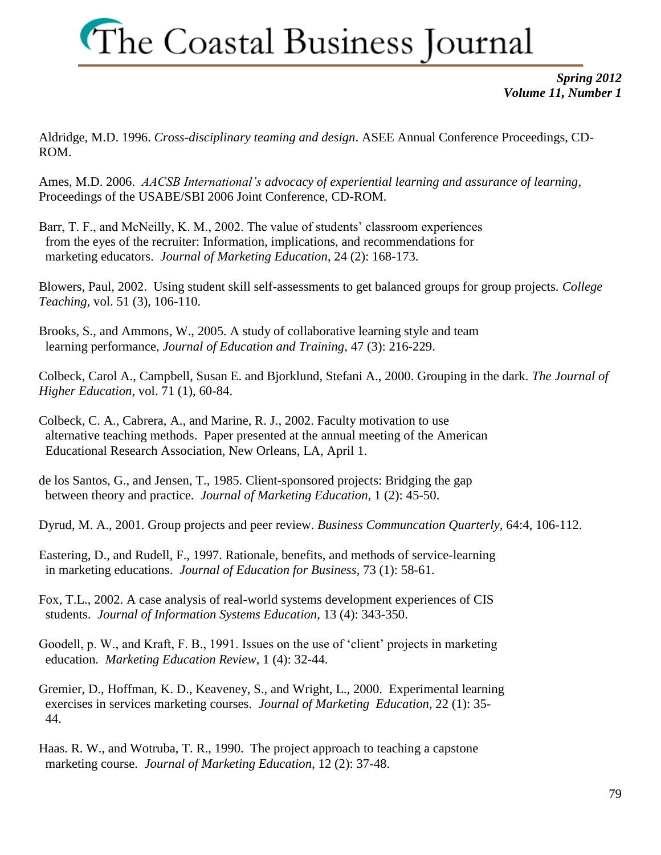*Spring 2012 Volume 11, Number 1*

Aldridge, M.D. 1996. *Cross-disciplinary teaming and design*. ASEE Annual Conference Proceedings, CD-ROM.

Ames, M.D. 2006. *AACSB International's advocacy of experiential learning and assurance of learning*, Proceedings of the USABE/SBI 2006 Joint Conference, CD-ROM.

Barr, T. F., and McNeilly, K. M., 2002. The value of students' classroom experiences from the eyes of the recruiter: Information, implications, and recommendations for marketing educators. *Journal of Marketing Education*, 24 (2): 168-173.

Blowers, Paul, 2002. Using student skill self-assessments to get balanced groups for group projects. *College Teaching,* vol. 51 (3), 106-110.

Brooks, S., and Ammons, W., 2005. A study of collaborative learning style and team learning performance, *Journal of Education and Training*, 47 (3): 216-229.

Colbeck, Carol A., Campbell, Susan E. and Bjorklund, Stefani A., 2000. Grouping in the dark. *The Journal of Higher Education,* vol. 71 (1), 60-84.

Colbeck, C. A., Cabrera, A., and Marine, R. J., 2002. Faculty motivation to use alternative teaching methods. Paper presented at the annual meeting of the American Educational Research Association, New Orleans, LA, April 1.

de los Santos, G., and Jensen, T., 1985. Client-sponsored projects: Bridging the gap between theory and practice. *Journal of Marketing Education*, 1 (2): 45-50.

Dyrud, M. A., 2001. Group projects and peer review. *Business Communcation Quarterly,* 64:4, 106-112.

Eastering, D., and Rudell, F., 1997. Rationale, benefits, and methods of service-learning in marketing educations. *Journal of Education for Business*, 73 (1): 58-61.

Fox, T.L., 2002. A case analysis of real-world systems development experiences of CIS students. *Journal of Information Systems Education*, 13 (4): 343-350.

Goodell, p. W., and Kraft, F. B., 1991. Issues on the use of 'client' projects in marketing education*. Marketing Education Review*, 1 (4): 32-44.

Gremier, D., Hoffman, K. D., Keaveney, S., and Wright, L., 2000. Experimental learning exercises in services marketing courses. *Journal of Marketing Education*, 22 (1): 35- 44.

Haas. R. W., and Wotruba, T. R., 1990. The project approach to teaching a capstone marketing course. *Journal of Marketing Education*, 12 (2): 37-48.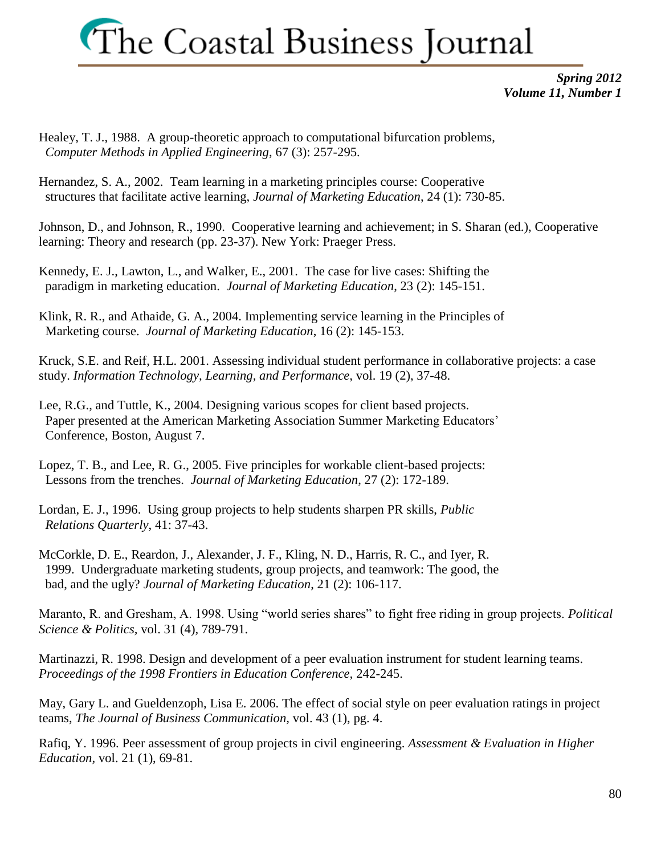*Spring 2012 Volume 11, Number 1*

Healey, T. J., 1988. A group-theoretic approach to computational bifurcation problems, *Computer Methods in Applied Engineering*, 67 (3): 257-295.

Hernandez, S. A., 2002. Team learning in a marketing principles course: Cooperative structures that facilitate active learning, *Journal of Marketing Education*, 24 (1): 730-85.

Johnson, D., and Johnson, R., 1990. Cooperative learning and achievement; in S. Sharan (ed.), Cooperative learning: Theory and research (pp. 23-37). New York: Praeger Press.

Kennedy, E. J., Lawton, L., and Walker, E., 2001. The case for live cases: Shifting the paradigm in marketing education. *Journal of Marketing Education*, 23 (2): 145-151.

Klink, R. R., and Athaide, G. A., 2004. Implementing service learning in the Principles of Marketing course. *Journal of Marketing Education*, 16 (2): 145-153.

Kruck, S.E. and Reif, H.L. 2001. Assessing individual student performance in collaborative projects: a case study. *Information Technology, Learning, and Performance,* vol. 19 (2), 37-48.

Lee, R.G., and Tuttle, K., 2004. Designing various scopes for client based projects. Paper presented at the American Marketing Association Summer Marketing Educators' Conference, Boston, August 7.

Lopez, T. B., and Lee, R. G., 2005. Five principles for workable client-based projects: Lessons from the trenches. *Journal of Marketing Education*, 27 (2): 172-189.

Lordan, E. J., 1996. Using group projects to help students sharpen PR skills, *Public Relations Quarterly*, 41: 37-43.

McCorkle, D. E., Reardon, J., Alexander, J. F., Kling, N. D., Harris, R. C., and Iyer, R. 1999. Undergraduate marketing students, group projects, and teamwork: The good, the bad, and the ugly? *Journal of Marketing Education*, 21 (2): 106-117.

Maranto, R. and Gresham, A. 1998. Using "world series shares" to fight free riding in group projects. *Political Science & Politics,* vol. 31 (4), 789-791.

Martinazzi, R. 1998. Design and development of a peer evaluation instrument for student learning teams. *Proceedings of the 1998 Frontiers in Education Conference,* 242-245.

May, Gary L. and Gueldenzoph, Lisa E. 2006. The effect of social style on peer evaluation ratings in project teams, *The Journal of Business Communication,* vol. 43 (1), pg. 4.

Rafiq, Y. 1996. Peer assessment of group projects in civil engineering. *Assessment & Evaluation in Higher Education,* vol. 21 (1), 69-81.